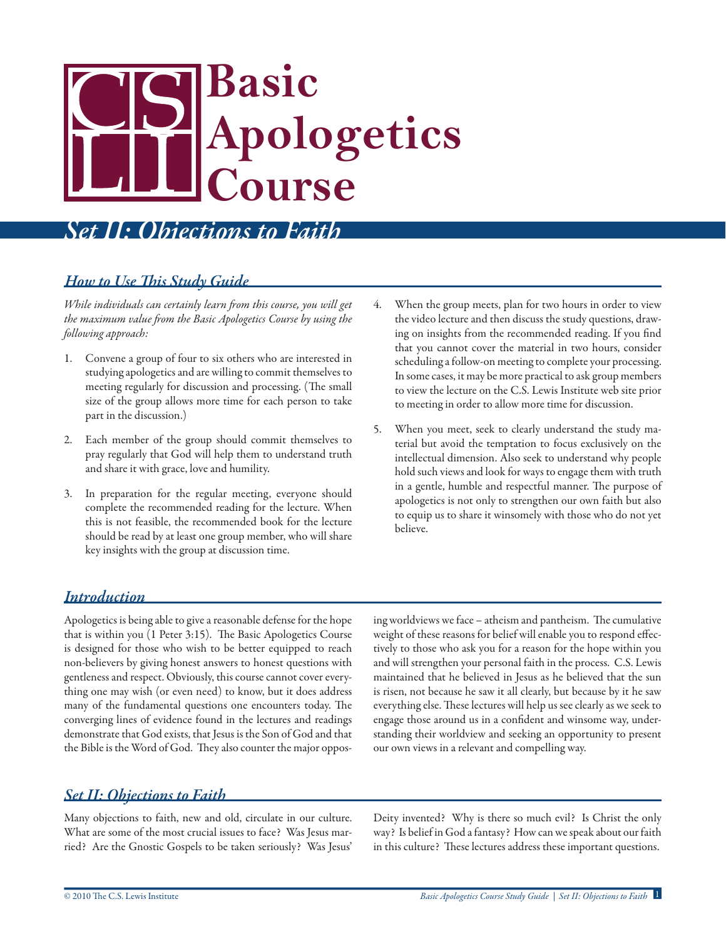# **Basic Apologetics Course**

# *Set II: Objections to Faith*

#### *How to Use This Study Guide*

*While individuals can certainly learn from this course, you will get the maximum value from the Basic Apologetics Course by using the following approach:*

- 1. Convene a group of four to six others who are interested in studying apologetics and are willing to commit themselves to meeting regularly for discussion and processing. (The small size of the group allows more time for each person to take part in the discussion.)
- 2. Each member of the group should commit themselves to pray regularly that God will help them to understand truth and share it with grace, love and humility.
- 3. In preparation for the regular meeting, everyone should complete the recommended reading for the lecture. When this is not feasible, the recommended book for the lecture should be read by at least one group member, who will share key insights with the group at discussion time.
- 4. When the group meets, plan for two hours in order to view the video lecture and then discuss the study questions, drawing on insights from the recommended reading. If you find that you cannot cover the material in two hours, consider scheduling a follow-on meeting to complete your processing. In some cases, it may be more practical to ask group members to view the lecture on the C.S. Lewis Institute web site prior to meeting in order to allow more time for discussion.
- 5. When you meet, seek to clearly understand the study material but avoid the temptation to focus exclusively on the intellectual dimension. Also seek to understand why people hold such views and look for ways to engage them with truth in a gentle, humble and respectful manner. The purpose of apologetics is not only to strengthen our own faith but also to equip us to share it winsomely with those who do not yet believe.

#### *Introduction*

Apologetics is being able to give a reasonable defense for the hope that is within you (1 Peter 3:15). The Basic Apologetics Course is designed for those who wish to be better equipped to reach non-believers by giving honest answers to honest questions with gentleness and respect. Obviously, this course cannot cover everything one may wish (or even need) to know, but it does address many of the fundamental questions one encounters today. The converging lines of evidence found in the lectures and readings demonstrate that God exists, that Jesus is the Son of God and that the Bible is the Word of God. They also counter the major opposing worldviews we face – atheism and pantheism. The cumulative weight of these reasons for belief will enable you to respond effectively to those who ask you for a reason for the hope within you and will strengthen your personal faith in the process. C.S. Lewis maintained that he believed in Jesus as he believed that the sun is risen, not because he saw it all clearly, but because by it he saw everything else. These lectures will help us see clearly as we seek to engage those around us in a confident and winsome way, understanding their worldview and seeking an opportunity to present our own views in a relevant and compelling way.

#### *Set II: Objections to Faith*

Many objections to faith, new and old, circulate in our culture. What are some of the most crucial issues to face? Was Jesus married? Are the Gnostic Gospels to be taken seriously? Was Jesus' Deity invented? Why is there so much evil? Is Christ the only way? Is belief in God a fantasy? How can we speak about our faith in this culture? These lectures address these important questions.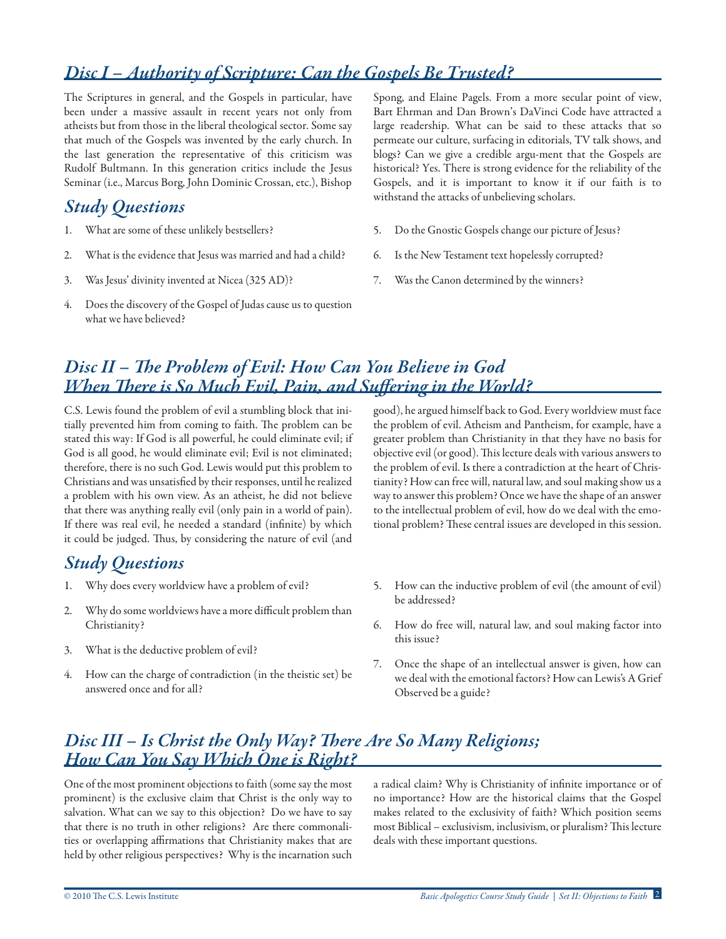# *Disc I – Authority of Scripture: Can the Gospels Be Trusted?*

The Scriptures in general, and the Gospels in particular, have been under a massive assault in recent years not only from atheists but from those in the liberal theological sector. Some say that much of the Gospels was invented by the early church. In the last generation the representative of this criticism was Rudolf Bultmann. In this generation critics include the Jesus Seminar (i.e., Marcus Borg, John Dominic Crossan, etc.), Bishop

#### *Study Questions*

- 1. What are some of these unlikely bestsellers?
- 2. What is the evidence that Jesus was married and had a child?
- 3. Was Jesus' divinity invented at Nicea (325 AD)?
- 4. Does the discovery of the Gospel of Judas cause us to question what we have believed?

Spong, and Elaine Pagels. From a more secular point of view, Bart Ehrman and Dan Brown's DaVinci Code have attracted a large readership. What can be said to these attacks that so permeate our culture, surfacing in editorials, TV talk shows, and blogs? Can we give a credible argu-ment that the Gospels are historical? Yes. There is strong evidence for the reliability of the Gospels, and it is important to know it if our faith is to withstand the attacks of unbelieving scholars.

- 5. Do the Gnostic Gospels change our picture of Jesus?
- 6. Is the New Testament text hopelessly corrupted?
- 7. Was the Canon determined by the winners?

#### *Disc II – The Problem of Evil: How Can You Believe in God When There is So Much Evil, Pain, and Suffering in the World?*

C.S. Lewis found the problem of evil a stumbling block that initially prevented him from coming to faith. The problem can be stated this way: If God is all powerful, he could eliminate evil; if God is all good, he would eliminate evil; Evil is not eliminated; therefore, there is no such God. Lewis would put this problem to Christians and was unsatisfied by their responses, until he realized a problem with his own view. As an atheist, he did not believe that there was anything really evil (only pain in a world of pain). If there was real evil, he needed a standard (infinite) by which it could be judged. Thus, by considering the nature of evil (and

## *Study Questions*

- 1. Why does every worldview have a problem of evil?
- 2. Why do some worldviews have a more difficult problem than Christianity?
- 3. What is the deductive problem of evil?
- 4. How can the charge of contradiction (in the theistic set) be answered once and for all?

good), he argued himself back to God. Every worldview must face the problem of evil. Atheism and Pantheism, for example, have a greater problem than Christianity in that they have no basis for objective evil (or good). This lecture deals with various answers to the problem of evil. Is there a contradiction at the heart of Christianity? How can free will, natural law, and soul making show us a way to answer this problem? Once we have the shape of an answer to the intellectual problem of evil, how do we deal with the emotional problem? These central issues are developed in this session.

- 5. How can the inductive problem of evil (the amount of evil) be addressed?
- 6. How do free will, natural law, and soul making factor into this issue?
- 7. Once the shape of an intellectual answer is given, how can we deal with the emotional factors? How can Lewis's A Grief Observed be a guide?

#### *Disc III – Is Christ the Only Way? There Are So Many Religions; How Can You Say Which One is Right?*

One of the most prominent objections to faith (some say the most prominent) is the exclusive claim that Christ is the only way to salvation. What can we say to this objection? Do we have to say that there is no truth in other religions? Are there commonalities or overlapping affirmations that Christianity makes that are held by other religious perspectives? Why is the incarnation such a radical claim? Why is Christianity of infinite importance or of no importance? How are the historical claims that the Gospel makes related to the exclusivity of faith? Which position seems most Biblical – exclusivism, inclusivism, or pluralism? This lecture deals with these important questions.